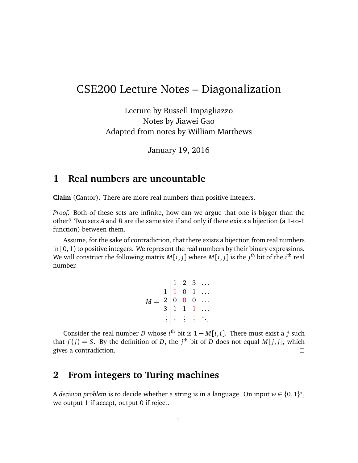# CSE200 Lecture Notes – Diagonalization

Lecture by Russell Impagliazzo Notes by Jiawei Gao Adapted from notes by William Matthews

January 19, 2016

## **1 Real numbers are uncountable**

**Claim** (Cantor)**.** There are more real numbers than positive integers.

*Proof.* Both of these sets are infinite, how can we argue that one is bigger than the other? Two sets *A* and *B* are the same size if and only if there exists a bijection (a 1-to-1 function) between them.

Assume, for the sake of contradiction, that there exists a bijection from real numbers in  $[0, 1)$  to positive integers. We represent the real numbers by their binary expressions. We will construct the following matrix  $M[i,j]$  where  $M[i,j]$  is the  $j^{\text{th}}$  bit of the  $i^{\text{th}}$  real number.

|       |  |                                   | $1\quad 2\quad 3\quad \ldots$                                                                                           |
|-------|--|-----------------------------------|-------------------------------------------------------------------------------------------------------------------------|
| $M =$ |  |                                   |                                                                                                                         |
|       |  |                                   |                                                                                                                         |
|       |  |                                   | $\begin{array}{ c cccc } \hline 1 & 1 & 0 & 1 & \ldots \\ 2 & 0 & 0 & 0 & \ldots \\ 3 & 1 & 1 & 1 & \ldots \end{array}$ |
|       |  | $: \mathbb{R}^n \to \mathbb{R}^n$ |                                                                                                                         |

Consider the real number *D* whose  $i^{\text{th}}$  bit is  $1 - M[i, i]$ . There must exist a *j* such that  $f(j) = S$ . By the definition of *D*, the *j*<sup>th</sup> bit of *D* does not equal *M*[*j*, *j*], which gives a contradiction.  $\Box$ 

## **2 From integers to Turing machines**

A *decision problem* is to decide whether a string is in a language. On input  $w \in \{0,1\}^*$ , we output 1 if accept, output 0 if reject.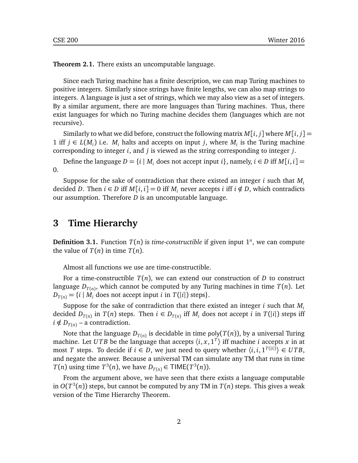**Theorem 2.1.** There exists an uncomputable language.

Since each Turing machine has a finite description, we can map Turing machines to positive integers. Similarly since strings have finite lengths, we can also map strings to integers. A language is just a set of strings, which we may also view as a set of integers. By a similar argument, there are more languages than Turing machines. Thus, there exist languages for which no Turing machine decides them (languages which are not recursive).

Similarly to what we did before, construct the following matrix  $M[i, j]$  where  $M[i, j] =$ 1 iff  $j \in L(M_i)$  i.e.  $M_i$  halts and accepts on input *j*, where  $M_i$  is the Turing machine corresponding to integer *i*, and *j* is viewed as the string corresponding to integer *j*.

Define the language  $D = \{i \mid M_i \text{ does not accept input } i\}$ , namely,  $i \in D$  iff  $M[i, i] =$ 0.

Suppose for the sake of contradiction that there existed an integer *i* such that *M<sup>i</sup>* decided *D*. Then *i* ∈ *D* iff  $M[i, i] = 0$  iff  $M<sub>i</sub>$  never accepts *i* iff *i* ∉ *D*, which contradicts our assumption. Therefore *D* is an uncomputable language.

#### **3 Time Hierarchy**

**Definition 3.1.** Function  $T(n)$  is *time-constructible* if given input  $1^n$ , we can compute the value of  $T(n)$  in time  $T(n)$ .

Almost all functions we use are time-constructible.

For a time-constructible  $T(n)$ , we can extend our construction of *D* to construct language *D<sup>T</sup>*(*n*) , which cannot be computed by any Turing machines in time *T*(*n*). Let  $D_{T(n)} = \{i \mid M_i \text{ does not accept input } i \text{ in } T(|i|) \text{ steps}\}.$ 

Suppose for the sake of contradiction that there existed an integer *i* such that *M<sup>i</sup>* decided  $D_{T(n)}$  in  $T(n)$  steps. Then  $i \in D_{T(n)}$  iff  $M_i$  does not accept  $i$  in  $T(|i|)$  steps iff  $i \notin D_{T(n)}$  – a contradiction.

Note that the language  $D_{T(n)}$  is decidable in time poly( $T(n)$ ), by a universal Turing machine. Let *UTB* be the language that accepts  $\langle i, x, 1^T \rangle$  iff machine *i* accepts *x* in at most *T* steps. To decide if  $i \in D$ , we just need to query whether  $\langle i, i, 1^{T(|i|)} \rangle \in UTB$ , and negate the answer. Because a universal TM can simulate any TM that runs in time *T*(*n*) using time *T*<sup>3</sup>(*n*), we have *D*<sub>*T*(*n*)</sub>  $\in$  TIME(*T*<sup>3</sup>(*n*)).

From the argument above, we have seen that there exists a language computable in  $O(T^3(n))$  steps, but cannot be computed by any TM in  $T(n)$  steps. This gives a weak version of the Time Hierarchy Theorem.